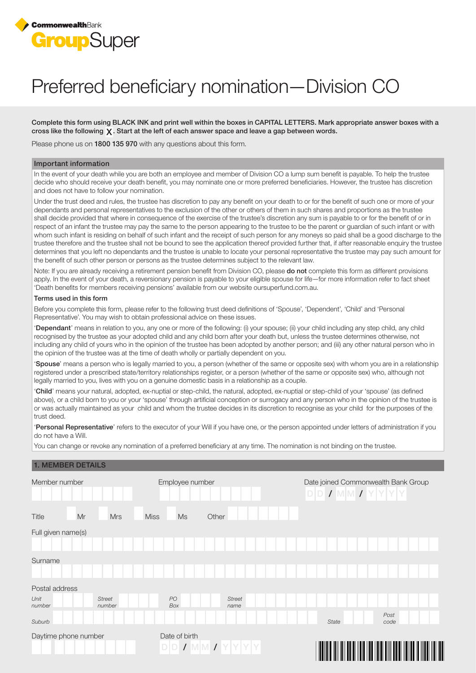

# Preferred beneficiary nomination—Division CO

Complete this form using BLACK INK and print well within the boxes in CAPITAL LETTERS. Mark appropriate answer boxes with a cross like the following  $\chi$ . Start at the left of each answer space and leave a gap between words.

Please phone us on 1800 135 970 with any questions about this form.

### Important information

In the event of your death while you are both an employee and member of Division CO a lump sum benefit is payable. To help the trustee decide who should receive your death benefit, you may nominate one or more preferred beneficiaries. However, the trustee has discretion and does not have to follow your nomination.

Under the trust deed and rules, the trustee has discretion to pay any benefit on your death to or for the benefit of such one or more of your dependants and personal representatives to the exclusion of the other or others of them in such shares and proportions as the trustee shall decide provided that where in consequence of the exercise of the trustee's discretion any sum is payable to or for the benefit of or in respect of an infant the trustee may pay the same to the person appearing to the trustee to be the parent or guardian of such infant or with whom such infant is residing on behalf of such infant and the receipt of such person for any moneys so paid shall be a good discharge to the trustee therefore and the trustee shall not be bound to see the application thereof provided further that, if after reasonable enquiry the trustee determines that you left no dependants and the trustee is unable to locate your personal representative the trustee may pay such amount for the benefit of such other person or persons as the trustee determines subject to the relevant law.

Note: If you are already receiving a retirement pension benefit from Division CO, please **do not** complete this form as different provisions apply. In the event of your death, a reversionary pension is payable to your eligible spouse for life—for more information refer to fact sheet 'Death benefits for members receiving pensions' available from our website oursuperfund.com.au.

#### Terms used in this form

Before you complete this form, please refer to the following trust deed definitions of 'Spouse', 'Dependent', 'Child' and 'Personal Representative'. You may wish to obtain professional advice on these issues.

'Dependant' means in relation to you, any one or more of the following: (i) your spouse; (ii) your child including any step child, any child recognised by the trustee as your adopted child and any child born after your death but, unless the trustee determines otherwise, not including any child of yours who in the opinion of the trustee has been adopted by another person; and (iii) any other natural person who in the opinion of the trustee was at the time of death wholly or partially dependent on you.

'Spouse' means a person who is legally married to you, a person (whether of the same or opposite sex) with whom you are in a relationship registered under a prescribed state/territory relationships register, or a person (whether of the same or opposite sex) who, although not legally married to you, lives with you on a genuine domestic basis in a relationship as a couple.

'Child' means your natural, adopted, ex-nuptial or step-child, the natural, adopted, ex-nuptial or step-child of your 'spouse' (as defined above), or a child born to you or your 'spouse' through artificial conception or surrogacy and any person who in the opinion of the trustee is or was actually maintained as your child and whom the trustee decides in its discretion to recognise as your child for the purposes of the trust deed.

'Personal Representative' refers to the executor of your Will if you have one, or the person appointed under letters of administration if you do not have a Will.

You can change or revoke any nomination of a preferred beneficiary at any time. The nomination is not binding on the trustee.

## 1. MEMBER DETAILS

| Member number        |                         | Employee number   |                       | Date joined Commonwealth Bank Group<br>$D D J M M J Y Y Y Y$ |                     |        |    |
|----------------------|-------------------------|-------------------|-----------------------|--------------------------------------------------------------|---------------------|--------|----|
| Mr<br><b>Title</b>   | <b>Mrs</b>              | <b>Miss</b><br>Ms | Other                 |                                                              |                     |        |    |
| Full given name(s)   |                         |                   |                       |                                                              |                     |        |    |
|                      |                         |                   |                       |                                                              |                     |        |    |
| Surname              |                         |                   |                       |                                                              |                     |        |    |
| Postal address       |                         |                   |                       |                                                              |                     |        |    |
| Unit<br>number       | <b>Street</b><br>number | $PO$<br>Box       | <b>Street</b><br>name |                                                              |                     |        |    |
| Suburb               |                         |                   |                       | <b>State</b>                                                 | Post<br>code        |        |    |
| Daytime phone number |                         | Date of birth     | $D D I W M I Y Y Y Y$ |                                                              | <u> Hillin Hill</u> | III II | ║║ |